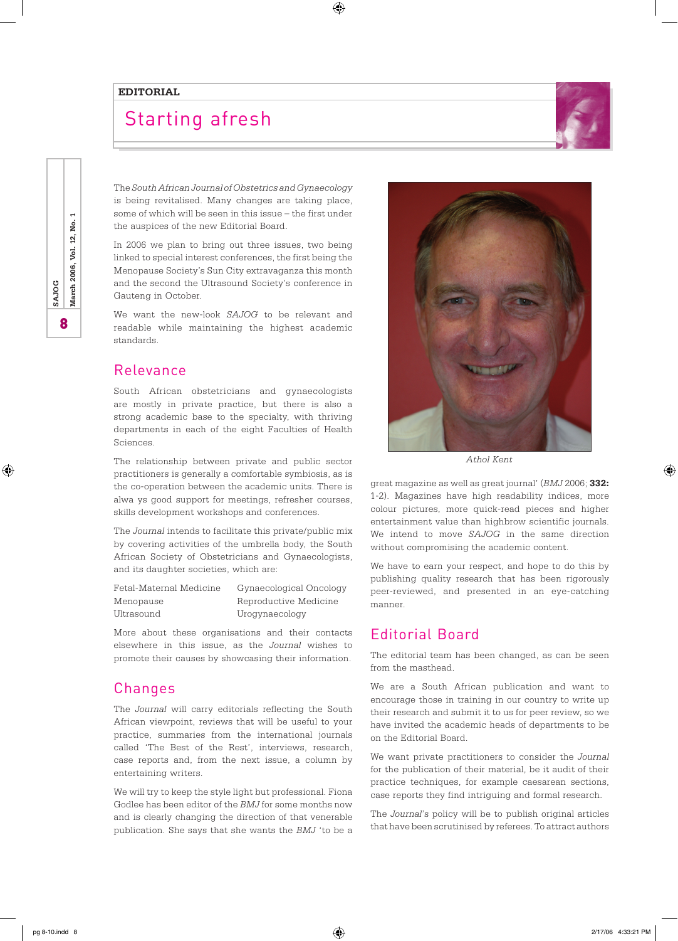#### **EDITORIAL**

# Starting afresh



The *South African Journal of Obstetrics and Gynaecology*  is being revitalised. Many changes are taking place, some of which will be seen in this issue – the first under the auspices of the new Editorial Board.

⊕

In 2006 we plan to bring out three issues, two being linked to special interest conferences, the first being the Menopause Society's Sun City extravaganza this month and the second the Ultrasound Society's conference in Gauteng in October.

We want the new-look *SAJOG* to be relevant and readable while maintaining the highest academic standards.

### Relevance

South African obstetricians and gynaecologists are mostly in private practice, but there is also a strong academic base to the specialty, with thriving departments in each of the eight Faculties of Health Sciences.

The relationship between private and public sector practitioners is generally a comfortable symbiosis, as is the co-operation between the academic units. There is alwa ys good support for meetings, refresher courses, skills development workshops and conferences.

The *Journal* intends to facilitate this private/public mix by covering activities of the umbrella body, the South African Society of Obstetricians and Gynaecologists, and its daughter societies, which are:

| Fetal-Maternal Medicine | G  |
|-------------------------|----|
| Menopause               | R٤ |
| Jltrasound              | ŢΤ |

ynaecological Oncology eproductive Medicine ogynaecology

More about these organisations and their contacts elsewhere in this issue, as the *Journal* wishes to promote their causes by showcasing their information.

### Changes

The *Journal* will carry editorials reflecting the South African viewpoint, reviews that will be useful to your practice, summaries from the international journals called 'The Best of the Rest', interviews, research, case reports and, from the next issue, a column by entertaining writers.

We will try to keep the style light but professional. Fiona Godlee has been editor of the *BMJ* for some months now and is clearly changing the direction of that venerable publication. She says that she wants the *BMJ* 'to be a



*Athol Kent*

great magazine as well as great journal' (*BMJ* 2006; **332:** 1-2). Magazines have high readability indices, more colour pictures, more quick-read pieces and higher entertainment value than highbrow scientific journals. We intend to move *SAJOG* in the same direction without compromising the academic content.

We have to earn your respect, and hope to do this by publishing quality research that has been rigorously peer-reviewed, and presented in an eye-catching manner.

## Editorial Board

The editorial team has been changed, as can be seen from the masthead.

We are a South African publication and want to encourage those in training in our country to write up their research and submit it to us for peer review, so we have invited the academic heads of departments to be on the Editorial Board.

We want private practitioners to consider the *Journal*  for the publication of their material, be it audit of their practice techniques, for example caesarean sections, case reports they find intriguing and formal research.

The *Journal*'s policy will be to publish original articles that have been scrutinised by referees. To attract authors

⊕

⊕